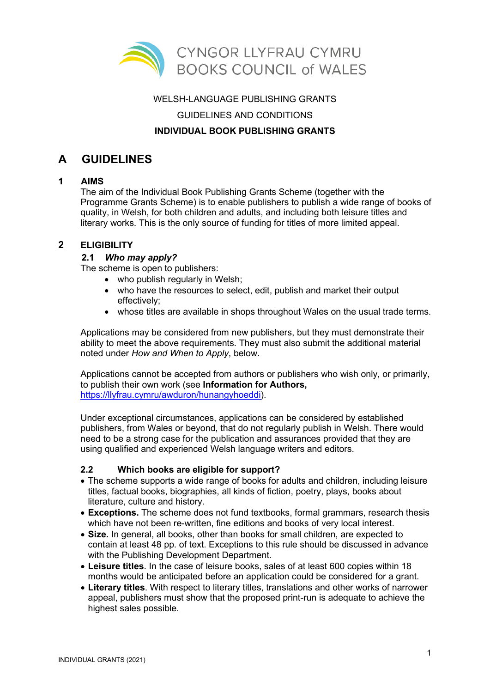

# WELSH-LANGUAGE PUBLISHING GRANTS GUIDELINES AND CONDITIONS

### **INDIVIDUAL BOOK PUBLISHING GRANTS**

# **A GUIDELINES**

# **1 AIMS**

The aim of the Individual Book Publishing Grants Scheme (together with the Programme Grants Scheme) is to enable publishers to publish a wide range of books of quality, in Welsh, for both children and adults, and including both leisure titles and literary works. This is the only source of funding for titles of more limited appeal.

### **2 ELIGIBILITY**

## **2.1** *Who may apply?*

The scheme is open to publishers:

- who publish regularly in Welsh;
- who have the resources to select, edit, publish and market their output effectively;
- whose titles are available in shops throughout Wales on the usual trade terms.

Applications may be considered from new publishers, but they must demonstrate their ability to meet the above requirements. They must also submit the additional material noted under *How and When to Apply*, below.

Applications cannot be accepted from authors or publishers who wish only, or primarily, to publish their own work (see **Information for Authors,** [https://llyfrau.cymru/awduron/hunangyhoeddi\)](https://llyfrau.cymru/awduron/hunangyhoeddi).

Under exceptional circumstances, applications can be considered by established publishers, from Wales or beyond, that do not regularly publish in Welsh. There would need to be a strong case for the publication and assurances provided that they are using qualified and experienced Welsh language writers and editors.

### **2.2 Which books are eligible for support?**

- The scheme supports a wide range of books for adults and children, including leisure titles, factual books, biographies, all kinds of fiction, poetry, plays, books about literature, culture and history.
- **Exceptions.** The scheme does not fund textbooks, formal grammars, research thesis which have not been re-written, fine editions and books of very local interest.
- **Size.** In general, all books, other than books for small children, are expected to contain at least 48 pp. of text. Exceptions to this rule should be discussed in advance with the Publishing Development Department.
- **Leisure titles**. In the case of leisure books, sales of at least 600 copies within 18 months would be anticipated before an application could be considered for a grant.
- **Literary titles**. With respect to literary titles, translations and other works of narrower appeal, publishers must show that the proposed print-run is adequate to achieve the highest sales possible.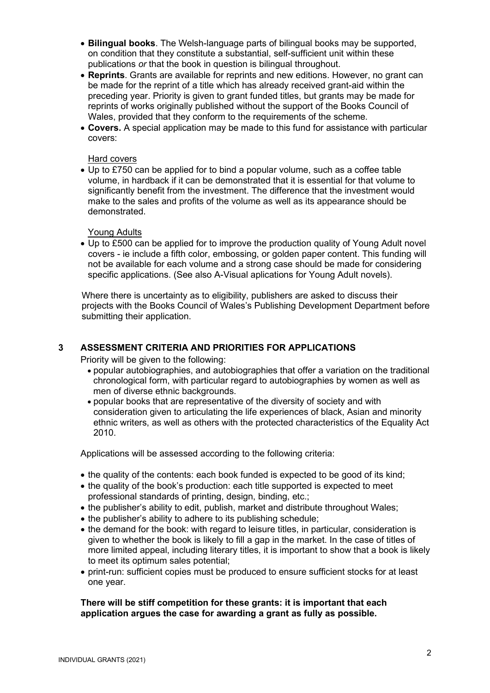- **Bilingual books**. The Welsh-language parts of bilingual books may be supported, on condition that they constitute a substantial, self-sufficient unit within these publications *or* that the book in question is bilingual throughout.
- **Reprints**. Grants are available for reprints and new editions. However, no grant can be made for the reprint of a title which has already received grant-aid within the preceding year. Priority is given to grant funded titles, but grants may be made for reprints of works originally published without the support of the Books Council of Wales, provided that they conform to the requirements of the scheme.
- **Covers.** A special application may be made to this fund for assistance with particular covers:

#### Hard covers

• Up to £750 can be applied for to bind a popular volume, such as a coffee table volume, in hardback if it can be demonstrated that it is essential for that volume to significantly benefit from the investment. The difference that the investment would make to the sales and profits of the volume as well as its appearance should be demonstrated.

#### Young Adults

• Up to £500 can be applied for to improve the production quality of Young Adult novel covers - ie include a fifth color, embossing, or golden paper content. This funding will not be available for each volume and a strong case should be made for considering specific applications. (See also A-Visual aplications for Young Adult novels).

Where there is uncertainty as to eligibility, publishers are asked to discuss their projects with the Books Council of Wales's Publishing Development Department before submitting their application.

### **3 ASSESSMENT CRITERIA AND PRIORITIES FOR APPLICATIONS**

Priority will be given to the following:

- popular autobiographies, and autobiographies that offer a variation on the traditional chronological form, with particular regard to autobiographies by women as well as men of diverse ethnic backgrounds.
- popular books that are representative of the diversity of society and with consideration given to articulating the life experiences of black, Asian and minority ethnic writers, as well as others with the protected characteristics of the Equality Act 2010.

Applications will be assessed according to the following criteria:

- the quality of the contents: each book funded is expected to be good of its kind;
- the quality of the book's production: each title supported is expected to meet professional standards of printing, design, binding, etc.;
- the publisher's ability to edit, publish, market and distribute throughout Wales;
- the publisher's ability to adhere to its publishing schedule;
- the demand for the book: with regard to leisure titles, in particular, consideration is given to whether the book is likely to fill a gap in the market. In the case of titles of more limited appeal, including literary titles, it is important to show that a book is likely to meet its optimum sales potential;
- print-run: sufficient copies must be produced to ensure sufficient stocks for at least one year.

#### **There will be stiff competition for these grants: it is important that each application argues the case for awarding a grant as fully as possible.**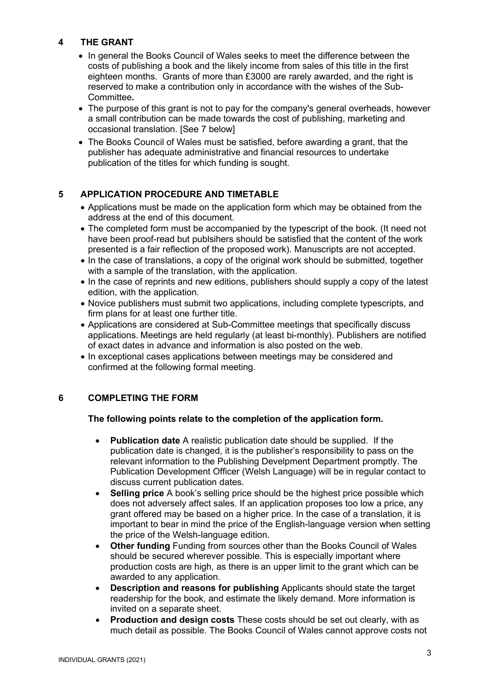# **4 THE GRANT**

- In general the Books Council of Wales seeks to meet the difference between the costs of publishing a book and the likely income from sales of this title in the first eighteen months. Grants of more than £3000 are rarely awarded, and the right is reserved to make a contribution only in accordance with the wishes of the Sub-Committee**.**
- The purpose of this grant is not to pay for the company's general overheads, however a small contribution can be made towards the cost of publishing, marketing and occasional translation. [See 7 below]
- The Books Council of Wales must be satisfied, before awarding a grant, that the publisher has adequate administrative and financial resources to undertake publication of the titles for which funding is sought.

## **5 APPLICATION PROCEDURE AND TIMETABLE**

- Applications must be made on the application form which may be obtained from the address at the end of this document.
- The completed form must be accompanied by the typescript of the book. (It need not have been proof-read but publsihers should be satisfied that the content of the work presented is a fair reflection of the proposed work). Manuscripts are not accepted.
- In the case of translations, a copy of the original work should be submitted, together with a sample of the translation, with the application.
- In the case of reprints and new editions, publishers should supply a copy of the latest edition, with the application.
- Novice publishers must submit two applications, including complete typescripts, and firm plans for at least one further title.
- Applications are considered at Sub-Committee meetings that specifically discuss applications. Meetings are held regularly (at least bi-monthly). Publishers are notified of exact dates in advance and information is also posted on the web.
- In exceptional cases applications between meetings may be considered and confirmed at the following formal meeting.

### **6 COMPLETING THE FORM**

#### **The following points relate to the completion of the application form.**

- **Publication date** A realistic publication date should be supplied. If the publication date is changed, it is the publisher's responsibility to pass on the relevant information to the Publishing Develpment Department promptly. The Publication Development Officer (Welsh Language) will be in regular contact to discuss current publication dates.
- **Selling price** A book's selling price should be the highest price possible which does not adversely affect sales. If an application proposes too low a price, any grant offered may be based on a higher price. In the case of a translation, it is important to bear in mind the price of the English-language version when setting the price of the Welsh-language edition.
- **Other funding** Funding from sources other than the Books Council of Wales should be secured wherever possible. This is especially important where production costs are high, as there is an upper limit to the grant which can be awarded to any application.
- **Description and reasons for publishing** Applicants should state the target readership for the book, and estimate the likely demand. More information is invited on a separate sheet.
- **Production and design costs** These costs should be set out clearly, with as much detail as possible. The Books Council of Wales cannot approve costs not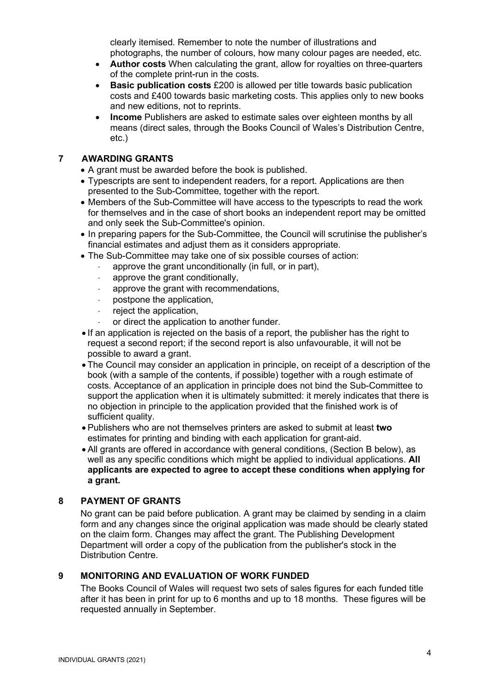clearly itemised. Remember to note the number of illustrations and photographs, the number of colours, how many colour pages are needed, etc.

- **Author costs** When calculating the grant, allow for royalties on three-quarters of the complete print-run in the costs.
- **Basic publication costs** £200 is allowed per title towards basic publication costs and £400 towards basic marketing costs. This applies only to new books and new editions, not to reprints.
- **Income** Publishers are asked to estimate sales over eighteen months by all means (direct sales, through the Books Council of Wales's Distribution Centre, etc.)

### **7 AWARDING GRANTS**

- A grant must be awarded before the book is published.
- Typescripts are sent to independent readers, for a report. Applications are then presented to the Sub-Committee, together with the report.
- Members of the Sub-Committee will have access to the typescripts to read the work for themselves and in the case of short books an independent report may be omitted and only seek the Sub-Committee's opinion.
- In preparing papers for the Sub-Committee, the Council will scrutinise the publisher's financial estimates and adjust them as it considers appropriate.
- The Sub-Committee may take one of six possible courses of action:
	- approve the grant unconditionally (in full, or in part),
	- approve the grant conditionally,
	- approve the grant with recommendations,
	- postpone the application,
	- ⋅ reject the application,
	- or direct the application to another funder.
- If an application is rejected on the basis of a report, the publisher has the right to request a second report; if the second report is also unfavourable, it will not be possible to award a grant.
- The Council may consider an application in principle, on receipt of a description of the book (with a sample of the contents, if possible) together with a rough estimate of costs. Acceptance of an application in principle does not bind the Sub-Committee to support the application when it is ultimately submitted: it merely indicates that there is no objection in principle to the application provided that the finished work is of sufficient quality.
- Publishers who are not themselves printers are asked to submit at least **two**  estimates for printing and binding with each application for grant-aid.
- All grants are offered in accordance with general conditions, (Section B below), as well as any specific conditions which might be applied to individual applications. **All applicants are expected to agree to accept these conditions when applying for a grant.**

#### **8 PAYMENT OF GRANTS**

No grant can be paid before publication. A grant may be claimed by sending in a claim form and any changes since the original application was made should be clearly stated on the claim form. Changes may affect the grant. The Publishing Development Department will order a copy of the publication from the publisher's stock in the Distribution Centre.

#### **9 MONITORING AND EVALUATION OF WORK FUNDED**

The Books Council of Wales will request two sets of sales figures for each funded title after it has been in print for up to 6 months and up to 18 months. These figures will be requested annually in September.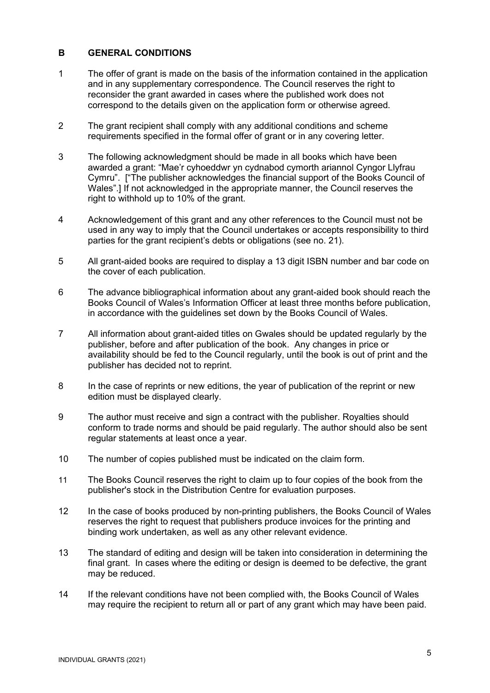#### **B GENERAL CONDITIONS**

- 1 The offer of grant is made on the basis of the information contained in the application and in any supplementary correspondence. The Council reserves the right to reconsider the grant awarded in cases where the published work does not correspond to the details given on the application form or otherwise agreed.
- 2 The grant recipient shall comply with any additional conditions and scheme requirements specified in the formal offer of grant or in any covering letter.
- 3 The following acknowledgment should be made in all books which have been awarded a grant: "Mae'r cyhoeddwr yn cydnabod cymorth ariannol Cyngor Llyfrau Cymru". ["The publisher acknowledges the financial support of the Books Council of Wales".] If not acknowledged in the appropriate manner, the Council reserves the right to withhold up to 10% of the grant.
- 4 Acknowledgement of this grant and any other references to the Council must not be used in any way to imply that the Council undertakes or accepts responsibility to third parties for the grant recipient's debts or obligations (see no. 21).
- 5 All grant-aided books are required to display a 13 digit ISBN number and bar code on the cover of each publication.
- 6 The advance bibliographical information about any grant-aided book should reach the Books Council of Wales's Information Officer at least three months before publication, in accordance with the guidelines set down by the Books Council of Wales.
- 7 All information about grant-aided titles on Gwales should be updated regularly by the publisher, before and after publication of the book. Any changes in price or availability should be fed to the Council regularly, until the book is out of print and the publisher has decided not to reprint.
- 8 In the case of reprints or new editions, the year of publication of the reprint or new edition must be displayed clearly.
- 9 The author must receive and sign a contract with the publisher. Royalties should conform to trade norms and should be paid regularly. The author should also be sent regular statements at least once a year.
- 10 The number of copies published must be indicated on the claim form.
- 11 The Books Council reserves the right to claim up to four copies of the book from the publisher's stock in the Distribution Centre for evaluation purposes.
- 12 In the case of books produced by non-printing publishers, the Books Council of Wales reserves the right to request that publishers produce invoices for the printing and binding work undertaken, as well as any other relevant evidence.
- 13 The standard of editing and design will be taken into consideration in determining the final grant. In cases where the editing or design is deemed to be defective, the grant may be reduced.
- 14 If the relevant conditions have not been complied with, the Books Council of Wales may require the recipient to return all or part of any grant which may have been paid.